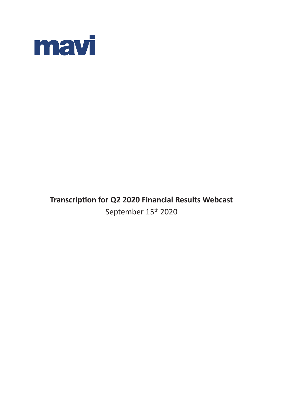

# **Transcription for Q2 2020 Financial Results Webcast** September 15th 2020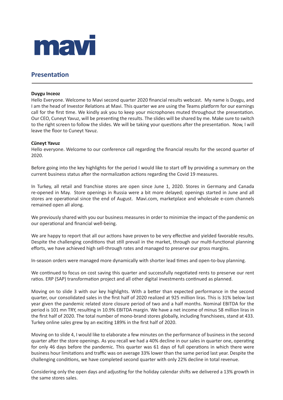

# **Presentation**

#### **Duygu Inceoz**

Hello Everyone. Welcome to Mavi second quarter 2020 financial results webcast. My name is Duygu, and I am the head of Investor Relations at Mavi. This quarter we are using the Teams platform for our earnings call for the first time. We kindly ask you to keep your microphones muted throughout the presentation. Our CEO, Cuneyt Yavuz, will be presenting the results. The slides will be shared by me. Make sure to switch to the right screen to follow the slides. We will be taking your questions after the presentation. Now, I will leave the floor to Cuneyt Yavuz.

#### **Cüneyt Yavuz**

Hello everyone. Welcome to our conference call regarding the financial results for the second quarter of 2020.

Before going into the key highlights for the period I would like to start off by providing a summary on the current business status after the normalization actions regarding the Covid 19 measures.

In Turkey, all retail and franchise stores are open since June 1, 2020. Stores in Germany and Canada re-opened in May. Store openings in Russia were a bit more delayed; openings started in June and all stores are operational since the end of August. Mavi.com, marketplace and wholesale e-com channels remained open all along.

We previously shared with you our business measures in order to minimize the impact of the pandemic on our operational and financial well-being.

We are happy to report that all our actions have proven to be very effective and yielded favorable results. Despite the challenging conditions that still prevail in the market, through our multi-functional planning efforts, we have achieved high sell-through rates and managed to preserve our gross margins.

In-season orders were managed more dynamically with shorter lead times and open-to-buy planning.

We continued to focus on cost saving this quarter and successfully negotiated rents to preserve our rent ratios. ERP (SAP) transformation project and all other digital investments continued as planned.

Moving on to slide 3 with our key highlights. With a better than expected performance in the second quarter, our consolidated sales in the first half of 2020 realized at 925 million liras. This is 31% below last year given the pandemic related store closure period of two and a half months. Nominal EBITDA for the period is 101 mn TRY, resulting in 10.9% EBITDA margin. We have a net income of minus 58 million liras in the first half of 2020. The total number of mono-brand stores globally, including franchisees, stand at 433. Turkey online sales grew by an exciting 189% in the first half of 2020.

Moving on to slide 4, I would like to elaborate a few minutes on the performance of business in the second quarter after the store openings. As you recall we had a 40% decline in our sales in quarter one, operating for only 46 days before the pandemic. This quarter was 61 days of full operations in which there were business hour limitations and traffic was on average 33% lower than the same period last year. Despite the challenging conditions, we have completed second quarter with only 22% decline in total revenue.

Considering only the open days and adjusting for the holiday calendar shifts we delivered a 13% growth in the same stores sales.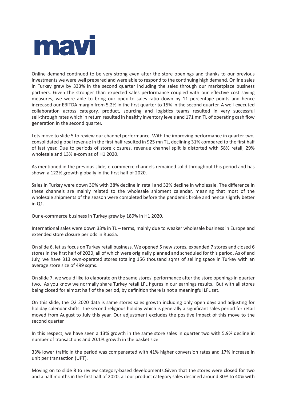

Online demand continued to be very strong even after the store openings and thanks to our previous investments we were well prepared and were able to respond to the continuing high demand. Online sales in Turkey grew by 333% in the second quarter including the sales through our marketplace business partners. Given the stronger than expected sales performance coupled with our effective cost saving measures, we were able to bring our opex to sales ratio down by 11 percentage points and hence increased our EBITDA margin from 5.2% in the first quarter to 15% in the second quarter. A well-executed collaboration across category, product, sourcing and logistics teams resulted in very successful sell-through rates which in return resulted in healthy inventory levels and 171 mn TL of operating cash flow generation in the second quarter.

Lets move to slide 5 to review our channel performance. With the improving performance in quarter two, consolidated global revenue in the first half resulted in 925 mn TL, declining 31% compared to the first half of last year. Due to periods of store closures, revenue channel split is distorted with 58% retail, 29% wholesale and 13% e-com as of H1 2020.

As mentioned in the previous slide, e-commerce channels remained solid throughout this period and has shown a 122% growth globally in the first half of 2020.

Sales in Turkey were down 30% with 38% decline in retail and 32% decline in wholesale. The difference in these channels are mainly related to the wholesale shipment calendar, meaning that most of the wholesale shipments of the season were completed before the pandemic broke and hence slightly better in Q1.

Our e-commerce business in Turkey grew by 189% in H1 2020.

International sales were down 33% in TL – terms, mainly due to weaker wholesale business in Europe and extended store closure periods in Russia.

On slide 6, let us focus on Turkey retail business. We opened 5 new stores, expanded 7 stores and closed 6 stores in the first half of 2020, all of which were originally planned and scheduled for this period. As of end July, we have 313 own-operated stores totaling 156 thousand sqms of selling space in Turkey with an average store size of 499 sqms.

On slide 7, we would like to elaborate on the same stores' performance after the store openings in quarter two. As you know we normally share Turkey retail LFL figures in our earnings results. But with all stores being closed for almost half of the period, by definition there is not a meaningful LFL set.

On this slide, the Q2 2020 data is same stores sales growth including only open days and adjusting for holiday calendar shifts. The second religious holiday which is generally a significant sales period for retail moved from August to July this year. Our adjustment excludes the positive impact of this move to the second quarter.

In this respect, we have seen a 13% growth in the same store sales in quarter two with 5.9% decline in number of transactions and 20.1% growth in the basket size.

33% lower traffic in the period was compensated with 41% higher conversion rates and 17% increase in unit per transaction (UPT).

Moving on to slide 8 to review category-based developments.Given that the stores were closed for two and a half months in the first half of 2020, all our product category sales declined around 30% to 40% with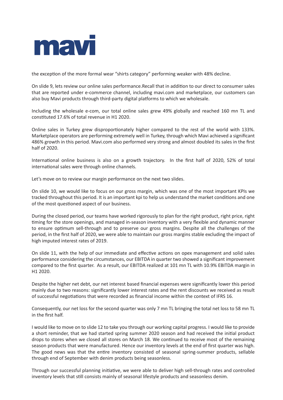

the exception of the more formal wear "shirts category" performing weaker with 48% decline.

On slide 9, lets review our online sales performance.Recall that in addition to our direct to consumer sales that are reported under e-commerce channel, including mavi.com and marketplace, our customers can also buy Mavi products through third-party digital platforms to which we wholesale.

Including the wholesale e-com, our total online sales grew 49% globally and reached 160 mn TL and constituted 17.6% of total revenue in H1 2020.

Online sales in Turkey grew disproportionately higher compared to the rest of the world with 133%. Marketplace operators are performing extremely well in Turkey, through which Mavi achieved a significant 486% growth in this period. Mavi.com also performed very strong and almost doubled its sales in the first half of 2020.

International online business is also on a growth trajectory. In the first half of 2020, 52% of total international sales were through online channels.

Let's move on to review our margin performance on the next two slides.

On slide 10, we would like to focus on our gross margin, which was one of the most important KPIs we tracked throughout this period. It is an important kpi to help us understand the market conditions and one of the most questioned aspect of our business.

During the closed period, our teams have worked rigorously to plan for the right product, right price, right timing for the store openings, and managed in-season inventory with a very flexible and dynamic manner to ensure optimum sell-through and to preserve our gross margins. Despite all the challenges of the period, in the first half of 2020, we were able to maintain our gross margins stable excluding the impact of high imputed interest rates of 2019.

On slide 11, with the help of our immediate and effective actions on opex management and solid sales performance considering the circumstances, our EBITDA in quarter two showed a significant improvement compared to the first quarter. As a result, our EBITDA realized at 101 mn TL with 10.9% EBITDA margin in H1 2020.

Despite the higher net debt, our net interest based financial expenses were significantly lower this period mainly due to two reasons: significantly lower interest rates and the rent discounts we received as result of successful negotiations that were recorded as financial income within the context of IFRS 16.

Consequently, our net loss for the second quarter was only 7 mn TL bringing the total net loss to 58 mn TL in the first half.

I would like to move on to slide 12 to take you through our working capital progress. I would like to provide a short reminder, that we had started spring summer 2020 season and had received the initial product drops to stores when we closed all stores on March 18. We continued to receive most of the remaining season products that were manufactured. Hence our inventory levels at the end of first quarter was high. The good news was that the entire inventory consisted of seasonal spring-summer products, sellable through end of September with denim products being seasonless.

Through our successful planning initiative, we were able to deliver high sell-through rates and controlled inventory levels that still consists mainly of seasonal lifestyle products and seasonless denim.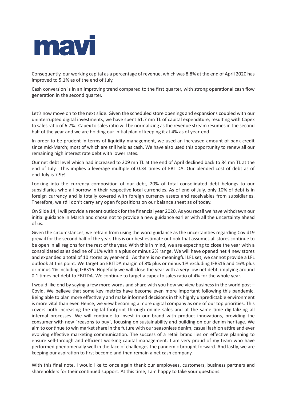

Consequently, our working capital as a percentage of revenue, which was 8.8% at the end of April 2020 has improved to 5.1% as of the end of July.

Cash conversion is in an improving trend compared to the first quarter, with strong operational cash flow generation in the second quarter.

Let's now move on to the next slide. Given the scheduled store openings and expansions coupled with our uninterrupted digital investments, we have spent 61.7 mn TL of capital expenditure, resulting with Capex to sales ratio of 6.7%. Capex to sales ratio will be normalizing as the revenue stream resumes in the second half of the year and we are holding our initial plan of keeping it at 4% as of year-end.

In order to be prudent in terms of liquidity management, we used an increased amount of bank credit since mid-March; most of which are still held as cash. We have also used this opportunity to renew all our remaining high interest rate debt with lower rates.

Our net debt level which had increased to 209 mn TL at the end of April declined back to 84 mn TL at the end of July. This implies a leverage multiple of 0.34 times of EBITDA. Our blended cost of debt as of end-July is 7.9%.

Looking into the currency composition of our debt, 20% of total consolidated debt belongs to our subsidiaries who all borrow in their respective local currencies. As of end of July, only 10% of debt is in foreign currency and is totally covered with foreign currency assets and receivables from subsidiaries. Therefore, we still don't carry any open fx positions on our balance sheet as of today.

On Slide 14, I will provide a recent outlook for the financial year 2020. As you recall we have withdrawn our initial guidance in March and chose not to provide a new guidance earlier with all the uncertainty ahead of us.

Given the circumstances, we refrain from using the word guidance as the uncertainties regarding Covid19 prevail for the second half of the year. This is our best estimate outlook that assumes all stores continue to be open in all regions for the rest of the year. With this in mind, we are expecting to close the year with a consolidated sales decline of 11% within a plus or minus 2% range. We will have opened net 4 new stores and expanded a total of 10 stores by year-end. As there is no meaningful LFL set, we cannot provide a LFL outlook at this point. We target an EBITDA margin of 8% plus or minus 1% excluding IFRS16 and 16% plus or minus 1% including IFRS16. Hopefully we will close the year with a very low net debt, implying around 0.1 times net debt to EBITDA. We continue to target a capex to sales ratio of 4% for the whole year.

I would like end by saying a few more words and share with you how we view business in the world post – Covid. We believe that some key metrics have become even more important following this pandemic. Being able to plan more effectively and make informed decisions in this highly unpredictable environment is more vital than ever. Hence, we view becoming a more digital company as one of our top priorities. This covers both increasing the digital footprint through online sales and at the same time digitalizing all internal processes. We will continue to invest in our brand with product innovations, providing the consumer with new "reasons to buy", focusing on sustainability and building on our denim heritage. We aim to continue to win market share in the future with our seasonless denim, casual fashion attire and ever evolving effective marketing communication. The success of a retail brand lies on effective planning to ensure sell-through and efficient working capital management. I am very proud of my team who have performed phenomenally well in the face of challenges the pandemic brought forward. And lastly, we are keeping our aspiration to first become and then remain a net cash company.

With this final note, I would like to once again thank our employees, customers, business partners and shareholders for their continued support. At this time, I am happy to take your questions.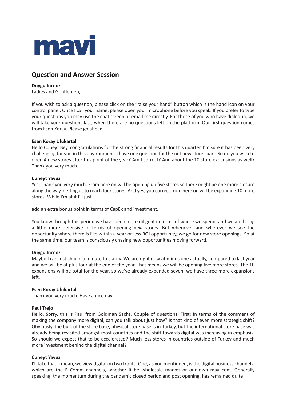

# **Question and Answer Session**

#### **Duygu Inceoz**

Ladies and Gentlemen,

If you wish to ask a question, please click on the "raise your hand" button which is the hand icon on your control panel. Once I call your name, please open your microphone before you speak. If you prefer to type your questions you may use the chat screen or email me directly. For those of you who have dialed-in, we will take your questions last, when there are no questions left on the platform. Our first question comes from Esen Koray. Please go ahead.

# **Esen Koray Ulukartal**

Hello Cuneyt Bey, congratulations for the strong financial results for this quarter. I'm sure it has been very challenging for you in this environment. I have one question for the net new stores part. So do you wish to open 4 new stores after this point of the year? Am I correct? And about the 10 store expansions as well? Thank you very much.

# **Cuneyt Yavuz**

Yes. Thank you very much. From here on will be opening up five stores so there might be one more closure along the way, netting us to reach four stores. And yes, you correct from here on will be expanding 10 more stores. While I'm at it I'll just

add an extra bonus point in terms of CapEx and investment.

You know through this period we have been more diligent in terms of where we spend, and we are being a little more defensive in terms of opening new stores. But whenever and wherever we see the opportunity where there is like within a year or less ROI opportunity, we go for new store openings. So at the same time, our team is consciously chasing new opportunities moving forward.

#### **Duygu Inceoz**

Maybe I can just chip in a minute to clarify. We are right now at minus one actually, compared to last year and we will be at plus four at the end of the year. That means we will be opening five more stores. The 10 expansions will be total for the year, so we've already expanded seven, we have three more expansions left.

# **Esen Koray Ulukartal**

Thank you very much. Have a nice day.

# **Paul Trejo**

Hello. Sorry, this is Paul from Goldman Sachs. Couple of questions. First: In terms of the comment of making the company more digital, can you talk about just how? Is that kind of even more strategic shift? Obviously, the bulk of the store base, physical store base is in Turkey, but the international store base was already being revisited amongst most countries and the shift towards digital was increasing in emphasis. So should we expect that to be accelerated? Much less stores in countries outside of Turkey and much more investment behind the digital channel?

# **Cuneyt Yavuz**

I'll take that. I mean, we view digital on two fronts. One, as you mentioned, is the digital business channels, which are the E Comm channels, whether it be wholesale market or our own mavi.com. Generally speaking, the momentum during the pandemic closed period and post opening, has remained quite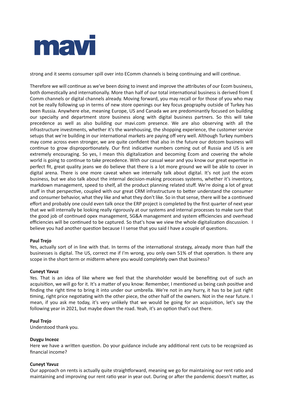

strong and it seems consumer spill over into EComm channels is being continuing and will continue.

Therefore we will continue as we've been doing to invest and improve the attributes of our Ecom business, both domestically and internationally. More than half of our total international business is derived from E Comm channels or digital channels already. Moving forward, you may recall or for those of you who may not be really following up in terms of new store openings our key focus geography outside of Turkey has been Russia. Anywhere else, meaning Europe, US and Canada we are predominantly focused on building our specialty and department store business along with digital business partners. So this will take precedence as well as also building our mavi.com presence. We are also observing with all the infrastructure investments, whether it's the warehousing, the shopping experience, the customer service setups that we're building in our international markets are paying off very well. Although Turkey numbers may come across even stronger, we are quite confident that also in the future our dotcom business will continue to grow disproportionately. Our first indicative numbers coming out of Russia and US is are extremely encouraging. So yes, I mean this digitalization and becoming Ecom and covering the whole world is going to continue to take precedence. With our casual wear and you know our great expertise in perfect fit, great quality jeans we do believe that there is a lot more ground we will be able to cover in digital arena. There is one more caveat when we internally talk about digital. It's not just the ecom business, but we also talk about the internal decision-making processes systems, whether it's inventory, markdown management, speed to shelf, all the product planning related stuff. We're doing a lot of great stuff in that perspective, coupled with our great CRM infrastructure to better understand the consumer and consumer behavior, what they like and what they don't like. So in that sense, there will be a continued effort and probably one could even talk once the ERP project is completed by the first quarter of next year that we will internally be looking really rigorously at our systems and internal processes to make sure that the good job of continued opex management, SG&A management and system efficiencies and overhead efficiencies will be continued to be captured. So that's how we view the whole digitalization discussion. I believe you had another question because I I sense that you said I have a couple of questions.

# **Paul Trejo**

Yes, actually sort of in line with that. In terms of the international strategy, already more than half the businesses is digital. The US, correct me if I'm wrong, you only own 51% of that operation. Is there any scope in the short term or midterm where you would completely own that business?

# **Cuneyt Yavuz**

Yes. That is an idea of like where we feel that the shareholder would be benefiting out of such an acquisition, we will go for it. It's a matter of you know: Remember, I mentioned us being cash positive and finding the right time to bring it into under our umbrella. We're not in any hurry, it has to be just right timing, right price negotiating with the other piece, the other half of the owners. Not in the near future. I mean, if you ask me today, it's very unlikely that we would be going for an acquisition, let's say the following year in 2021, but maybe down the road. Yeah, it's an option that's out there.

#### **Paul Trejo**

Understood thank you.

#### **Duygu Inceoz**

Here we have a written question. Do your guidance include any additional rent cuts to be recognized as financial income?

#### **Cuneyt Yavuz**

Our approach on rents is actually quite straightforward, meaning we go for maintaining our rent ratio and maintaining and improving our rent ratio year in year out. During or after the pandemic doesn't matter, as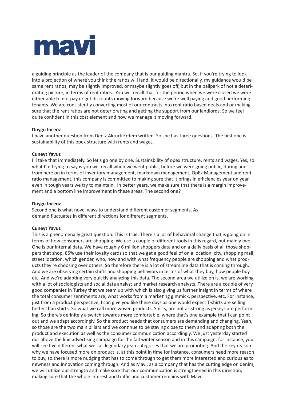

a guiding principle as the leader of the company that is our guiding mantra. So, if you're trying to look into a projection of where you think the ratios will land, it would be directionally, my guidance would be same rent ratios, may be slightly improved, or maybe slightly goes off, but in the ballpark of not a deteriorating picture, in terms of rent ratios. You will recall that for the period when we were closed we were either able to not pay or get discounts moving forward because we're well paying and good performing tenants. We are consistently converting most of our contracts into rent ratio based deals and or making sure that the rent ratios are not deteriorating and getting the support from our landlords. So we feel quite confident in this cost element and how we manage it moving forward.

# **Duygu Inceoz**

I have another question from Deniz Akturk Erdem written. So she has three questions. The first one is sustainability of this opex structure with rents and wages.

#### **Cuneyt Yavuz**

I'll take that immediately. So let's go one by one. Sustainsbility of opex structure, rents and wages. Yes, so what I'm trying to say is you will recall when we went public, before we were going public, during and from here on in terms of inventory management, markdown management, OpEx Management and rent ratio management, this company is committed to making sure that it brings in efficiencies year on year even in tough years we try to maintain. In better years, we make sure that there is a margin improvement and a bottom line improvement in these areas. The second one?

#### **Duygu Inceoz**

Second one is what novel ways to understand different customer segments. As demand fluctuates in different directions for different segments.

# **Cuneyt Yavuz**

This is a phenomenally great question. This is true. There's a lot of behavioral change that is going on in terms of how consumers are shopping. We use a couple of different tools in this regard, but mainly two. One is our internal data. We have roughly 6 million shoppers data and on a daily basis of all those shoppers that shop, 85% use their loyalty cards so that we get a good feel of on a location, city, shopping mall, street location, which gender, who, how and with what frequency people are shopping and what products they're choosing over others. So therefore there is a lot of streamline data that is coming through. And we are observing certain shifts and shopping behaviors in terms of what they buy, how people buy etc. And we're adapting very quickly analyzing this data. The second area we utilize on is, we are working with a lot of sociologists and social data analyst and market research analysts. There are a couple of very good companies in Turkey that we team up with which is also giving us further insight in terms of where the total consumer sentiments are, what works from a marketing gimmick, perspective, etc. For instance, just from a product perspective, I can give you like these days as one would expect T-shirts are selling better than shirts. So what we call more woven products, Shirts, are not as strong as jerseys are performing. So there's definitely a switch towards more comfortable, where that's one example that I can point out and we adapt accordingly. So the product needs that consumers are demanding and changing. Yeah, so those are the two main pillars and we continue to be staying close to them and adapting both the product and execution as well as the consumer communication accordingly. We just yesterday started our above the line advertising campaign for the fall winter season and in this campaign, for instance, you will see five different what we call legendary jean categories that we are promoting. And the key reason why we have focused more on product is, at this point in time for instance, consumers need more reason to buy, so there is more nudging that has to come through to get them more interested and curious as to newness and innovation coming through. And as Mavi, as a company that has the cutting edge on denim, we will utilize our strength and make sure that our communication is strengthened in this direction, making sure that the whole interest and traffic and customer remains with Mavi.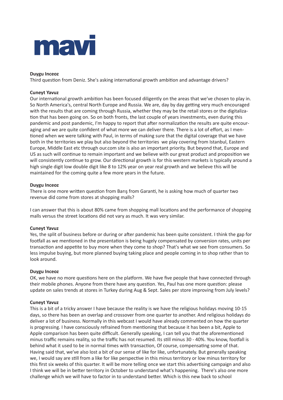

# **Duygu Inceoz**

Third question from Deniz. She's asking international growth ambition and advantage drivers?

#### **Cuneyt Yavuz**

Our international growth ambition has been focused diligently on the areas that we've chosen to play in. So North America's, central North Europe and Russia. We are, day by day getting very much encouraged with the results that are coming through Russia, whether they may be the retail stores or the digitalization that has been going on. So on both fronts, the last couple of years investments, even during this pandemic and post pandemic, I'm happy to report that after normalization the results are quite encouraging and we are quite confident of what more we can deliver there. There is a lot of effort, as I mentioned when we were talking with Paul, in terms of making sure that the digital coverage that we have both in the territories we play but also beyond the territories we play covering from Istanbul, Eastern Europe, Middle East etc through our.com site is also an important priority. But beyond that, Europe and US as such will continue to remain important and we believe with our great product and proposition we will consistently continue to grow. Our directional growth is for this western markets is typically around a high single digit low double digit like 8 to 12% year on year real growth and we believe this will be maintained for the coming quite a few more years in the future.

#### **Duygu Inceoz**

There is one more written question from Barış from Garanti, he is asking how much of quarter two revenue did come from stores at shopping malls?

I can answer that this is about 80% came from shopping mall locations and the performance of shopping malls versus the street locations did not vary as much. It was very similar.

#### **Cuneyt Yavuz**

Yes, the split of business before or during or after pandemic has been quite consistent. I think the gap for footfall as we mentioned in the presentation is being hugely compensated by conversion rates, units per transaction and appetite to buy more when they come to shop? That's what we see from consumers. So less impulse buying, but more planned buying taking place and people coming in to shop rather than to look around.

#### **Duygu Inceoz**

OK, we have no more questions here on the platform. We have five people that have connected through their mobile phones. Anyone from there have any question. Yes, Paul has one more question: please update on sales trends at stores in Turkey during Aug & Sept. Sales per store improving from July levels?

#### **Cuneyt Yavuz**

This is a bit of a tricky answer I have because the reality is we have the religious holidays moving 10-15 days, so there has been an overlap and crossover from one quarter to another. And religious holidays do deliver a lot of business. Normally in this webcast I would have already commented on how the quarter is progressing. I have consciously refrained from mentioning that because it has been a bit, Apple to Apple comparison has been quite difficult. Generally speaking, I can tell you that the aforementioned minus traffic remains reality, so the traffic has not resumed. Its still minus 30 - 40%. You know, footfall is behind what it used to be in normal times with transaction, Of course, compensating some of that. Having said that, we've also lost a bit of our sense of like for like, unfortunately. But generally speaking we, I would say are still from a like for like perspective in this minus territory or low minus territory for this first six weeks of this quarter. It will be more telling once we start this advertising campaign and also I think we will be in better territory in October to understand what's happening. There's also one more challenge which we will have to factor in to understand better. Which is this new back to school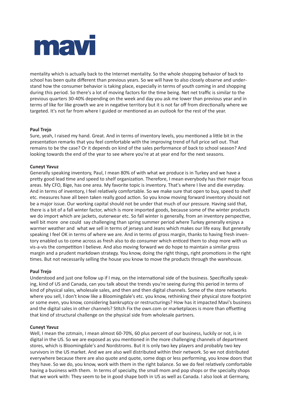

mentality which is actually back to the Internet mentality. So the whole shopping behavior of back to school has been quite different than previous years. So we will have to also closely observe and understand how the consumer behavior is taking place, especially in terms of youth coming in and shopping during this period. So there's a lot of moving factors for the time being. Net net traffic is similar to the previous quarters 30-40% depending on the week and day you ask me lower than previous year and in terms of like for like growth we are in negative territory but it is not far off from directionally where we targeted. It's not far from where I guided or mentioned as an outlook for the rest of the year.

# **Paul Trejo**

Sure, yeah, I raised my hand. Great. And in terms of inventory levels, you mentioned a little bit in the presentation remarks that you feel comfortable with the improving trend of full price sell out. That remains to be the case? Or it depends on kind of the sales performance of back to school season? And looking towards the end of the year to see where you're at at year end for the next seasons.

# **Cuneyt Yavuz**

Generally speaking inventory, Paul, I mean 80% of with what we produce is in Turkey and we have a pretty good lead time and speed to shelf organization. Therefore, I mean everybody has their major focus areas. My CFO, Bige, has one area. My favorite topic is inventory. That's where I live and die everyday. And in terms of inventory, I feel relatively comfortable. So we make sure that open to buy, speed to shelf etc. measures have all been taken really good action. So you know moving forward inventory should not be a major issue. Our working capital should not be under that much of our pressure. Having said that, there is a bit of a fall winter factor, which is more imported goods, because some of the winter products we do import which are jackets, outerwear etc. So fall winter is generally, from an inventory perspective, well bit more one could say challenging than spring summer period where Turkey generally enjoys a warmer weather and what we sell in terms of jerseys and Jeans which makes our life easy. But generally speaking I feel OK in terms of where we are. And in terms of gross margin, thanks to having fresh inventory enabled us to come across as fresh also to do consumer which enticed them to shop more with us vis-a-vis the competition I believe. And also moving forward we do hope to maintain a similar gross margin and a prudent markdown strategy. You know, doing the right things, right promotions in the right times. But not necessarily selling the house you know to move the products through the warehouse.

# **Paul Trejo**

Understood and just one follow up if I may, on the international side of the business. Specifically speaking, kind of US and Canada, can you talk about the trends you're seeing during this period in terms of kind of physical sales, wholesale sales, and then and then digital channels. Some of the store networks where you sell, I don't know like a Bloomingdale's etc. you know, rethinking their physical store footprint or some even, you know, considering bankruptcy or restructurings? How has it impacted Mavi's business and the digital sales in other channels? Stitch Fix the own.com or marketplaces is more than offsetting that kind of structural challenge on the physical side from wholesale partners.

# **Cuneyt Yavuz**

Well, I mean the zztmain, I mean almost 60-70%, 60 plus percent of our business, luckily or not, is in digital in the US. So we are exposed as you mentioned in the more challenging channels of department stores, which is Bloomingdale's and Nordstroms. But it is only two key players and probably two key survivors in the US market. And we are also well distributed within their network. So we not distributed everywhere because there are also quote and quote, some dogs or less performing, you know doors that they have. So we do, you know, work with them in the right balance. So we do feel relatively comfortable having a business with them. In terms of specialty, the small mom and pop shops or the specialty shops that we work with: They seem to be in good shape both in US as well as Canada. I also look at Germany,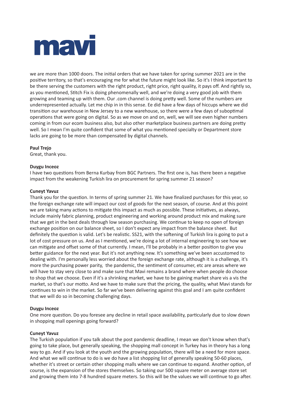

we are more than 1000 doors. The initial orders that we have taken for spring summer 2021 are in the positive territory, so that's encouraging me for what the future might look like. So it's I think important to be there serving the customers with the right product, right price, right quality, it pays off. And rightly so, as you mentioned, Stitch Fix is doing phenomenally well, and we're doing a very good job with them growing and teaming up with them. Our .com channel is doing pretty well. Some of the numbers are underrepresented actually. Let me chip in in this sense. Ee did have a few days of hiccups where we did transition our warehouse in New Jersey to a new warehouse, so there were a few days of suboptimal operations that were going on digital. So as we move on and on, well, we will see even higher numbers coming in from our ecom business also, but also other marketplace business partners are doing pretty well. So I mean I'm quite confident that some of what you mentioned specialty or Department store lacks are going to be more than compensated by digital channels.

# **Paul Trejo**

Great, thank you.

# **Duygu Inceoz**

I have two questions from Berna Kurbay from BGC Partners. The first one is, has there been a negative impact from the weakening Turkish lira on procurement for spring summer 21 season?

# **Cuneyt Yavuz**

Thank you for the question. In terms of spring summer 21. We have finalized purchases for this year, so the foreign exchange rate will impact our cost of goods for the next season, of course. And at this point we are taking many actions to mitigate this impact as much as possible. These initiatives, as always, include mainly fabric planning, product engineering and working around product mix and making sure that we get in the best deals through low season purchasing. We continue to keep no open of foreign exchange position on our balance sheet, so I don't expect any impact from the balance sheet. But definitely the question is valid. Let's be realistic. SS21, with the softening of Turkish lira is going to put a lot of cost pressure on us. And as I mentioned, we're doing a lot of internal engineering to see how we can mitigate and offset some of that currently. I mean, I'll be probably in a better position to give you better guidance for the next year. But it's not anything new. It's something we've been accustomed to dealing with. I'm personally less worried about the foreign exchange rate, although it is a challenge, it's more the purchasing power parity, the pandemic, the sentiment of consumer, etc are areas where we will have to stay very close to and make sure that Mavi remains a brand where when people do choose to shop that we choose. Even if it's a shrinking market, we have to be gaining market share vis a vis the market, so that's our motto. And we have to make sure that the pricing, the quality, what Mavi stands for continues to win in the market. So far we've been delivering against this goal and I am quite confident that we will do so in becoming challenging days.

# **Duygu Inceoz**

One more question. Do you foresee any decline in retail space availability, particularly due to slow down in shopping mall openings going forward?

# **Cuneyt Yavuz**

The Turkish population if you talk about the post pandemic deadline, I mean we don't know when that's going to take place, but generally speaking, the shopping mall concept in Turkey has in theory has a long way to go. And if you look at the youth and the growing population, there will be a need for more space. And what we will continue to do is we do have a list shopping list of generally speaking 50-60 places, whether it's street or certain other shopping malls where we can continue to expand. Another option, of course, is the expansion of the stores themselves. So taking our 500 square meter on average store set and growing them into 7-8 hundred square meters. So this will be the values we will continue to go after.